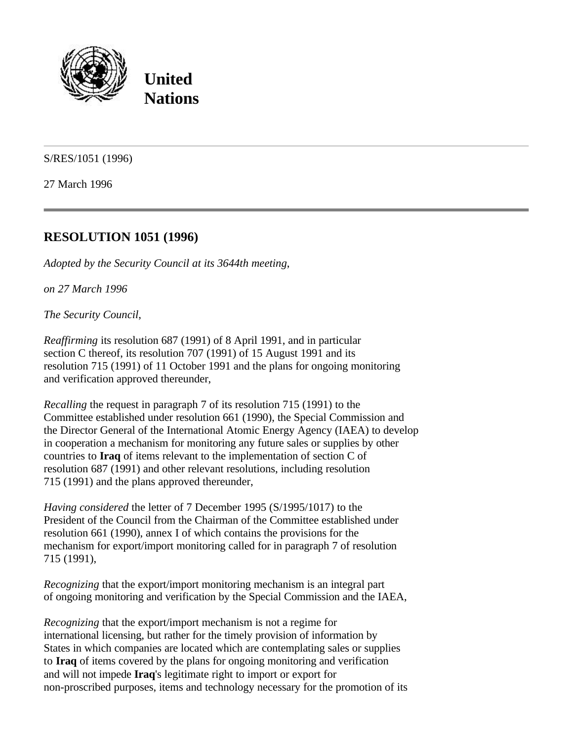

**United Nations**

S/RES/1051 (1996)

27 March 1996

## **RESOLUTION 1051 (1996)**

*Adopted by the Security Council at its 3644th meeting*,

*on 27 March 1996*

*The Security Council*,

*Reaffirming* its resolution 687 (1991) of 8 April 1991, and in particular section C thereof, its resolution 707 (1991) of 15 August 1991 and its resolution 715 (1991) of 11 October 1991 and the plans for ongoing monitoring and verification approved thereunder,

*Recalling* the request in paragraph 7 of its resolution 715 (1991) to the Committee established under resolution 661 (1990), the Special Commission and the Director General of the International Atomic Energy Agency (IAEA) to develop in cooperation a mechanism for monitoring any future sales or supplies by other countries to **Iraq** of items relevant to the implementation of section C of resolution 687 (1991) and other relevant resolutions, including resolution 715 (1991) and the plans approved thereunder,

*Having considered* the letter of 7 December 1995 (S/1995/1017) to the President of the Council from the Chairman of the Committee established under resolution 661 (1990), annex I of which contains the provisions for the mechanism for export/import monitoring called for in paragraph 7 of resolution 715 (1991),

*Recognizing* that the export/import monitoring mechanism is an integral part of ongoing monitoring and verification by the Special Commission and the IAEA,

*Recognizing* that the export/import mechanism is not a regime for international licensing, but rather for the timely provision of information by States in which companies are located which are contemplating sales or supplies to **Iraq** of items covered by the plans for ongoing monitoring and verification and will not impede **Iraq**'s legitimate right to import or export for non-proscribed purposes, items and technology necessary for the promotion of its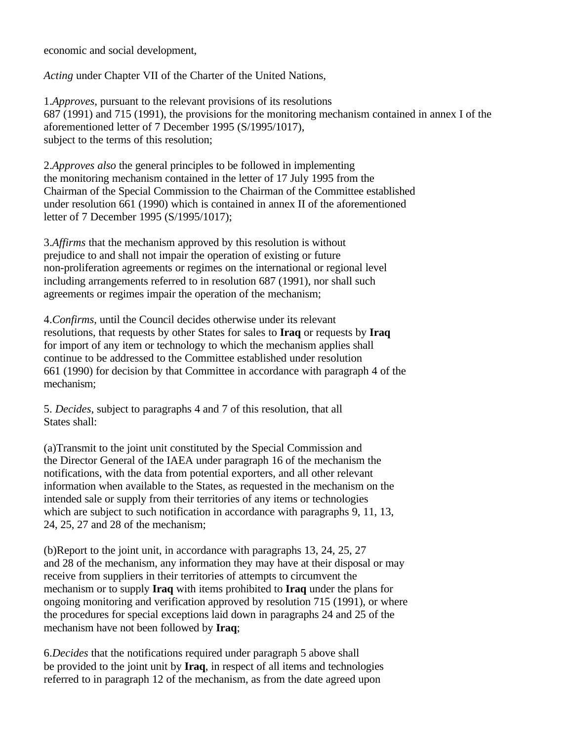economic and social development,

*Acting* under Chapter VII of the Charter of the United Nations,

1.*Approves*, pursuant to the relevant provisions of its resolutions 687 (1991) and 715 (1991), the provisions for the monitoring mechanism contained in annex I of the aforementioned letter of 7 December 1995 (S/1995/1017), subject to the terms of this resolution;

2.*Approves also* the general principles to be followed in implementing the monitoring mechanism contained in the letter of 17 July 1995 from the Chairman of the Special Commission to the Chairman of the Committee established under resolution 661 (1990) which is contained in annex II of the aforementioned letter of 7 December 1995 (S/1995/1017);

3.*Affirms* that the mechanism approved by this resolution is without prejudice to and shall not impair the operation of existing or future non-proliferation agreements or regimes on the international or regional level including arrangements referred to in resolution 687 (1991), nor shall such agreements or regimes impair the operation of the mechanism;

4.*Confirms*, until the Council decides otherwise under its relevant resolutions, that requests by other States for sales to **Iraq** or requests by **Iraq** for import of any item or technology to which the mechanism applies shall continue to be addressed to the Committee established under resolution 661 (1990) for decision by that Committee in accordance with paragraph 4 of the mechanism;

5. *Decides*, subject to paragraphs 4 and 7 of this resolution, that all States shall:

(a)Transmit to the joint unit constituted by the Special Commission and the Director General of the IAEA under paragraph 16 of the mechanism the notifications, with the data from potential exporters, and all other relevant information when available to the States, as requested in the mechanism on the intended sale or supply from their territories of any items or technologies which are subject to such notification in accordance with paragraphs 9, 11, 13, 24, 25, 27 and 28 of the mechanism;

(b)Report to the joint unit, in accordance with paragraphs 13, 24, 25, 27 and 28 of the mechanism, any information they may have at their disposal or may receive from suppliers in their territories of attempts to circumvent the mechanism or to supply **Iraq** with items prohibited to **Iraq** under the plans for ongoing monitoring and verification approved by resolution 715 (1991), or where the procedures for special exceptions laid down in paragraphs 24 and 25 of the mechanism have not been followed by **Iraq**;

6.*Decides* that the notifications required under paragraph 5 above shall be provided to the joint unit by **Iraq**, in respect of all items and technologies referred to in paragraph 12 of the mechanism, as from the date agreed upon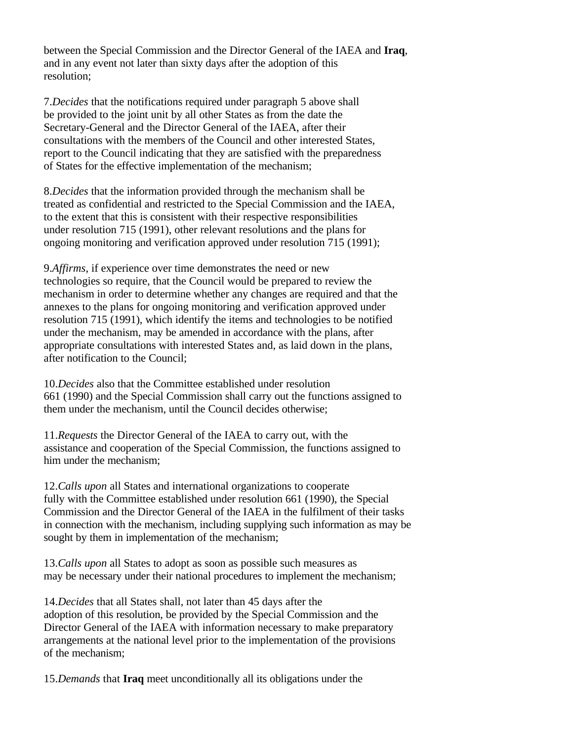between the Special Commission and the Director General of the IAEA and **Iraq**, and in any event not later than sixty days after the adoption of this resolution;

7.*Decides* that the notifications required under paragraph 5 above shall be provided to the joint unit by all other States as from the date the Secretary-General and the Director General of the IAEA, after their consultations with the members of the Council and other interested States, report to the Council indicating that they are satisfied with the preparedness of States for the effective implementation of the mechanism;

8.*Decides* that the information provided through the mechanism shall be treated as confidential and restricted to the Special Commission and the IAEA, to the extent that this is consistent with their respective responsibilities under resolution 715 (1991), other relevant resolutions and the plans for ongoing monitoring and verification approved under resolution 715 (1991);

9.*Affirms*, if experience over time demonstrates the need or new technologies so require, that the Council would be prepared to review the mechanism in order to determine whether any changes are required and that the annexes to the plans for ongoing monitoring and verification approved under resolution 715 (1991), which identify the items and technologies to be notified under the mechanism, may be amended in accordance with the plans, after appropriate consultations with interested States and, as laid down in the plans, after notification to the Council;

10.*Decides* also that the Committee established under resolution 661 (1990) and the Special Commission shall carry out the functions assigned to them under the mechanism, until the Council decides otherwise;

11.*Requests* the Director General of the IAEA to carry out, with the assistance and cooperation of the Special Commission, the functions assigned to him under the mechanism;

12.*Calls upon* all States and international organizations to cooperate fully with the Committee established under resolution 661 (1990), the Special Commission and the Director General of the IAEA in the fulfilment of their tasks in connection with the mechanism, including supplying such information as may be sought by them in implementation of the mechanism;

13.*Calls upon* all States to adopt as soon as possible such measures as may be necessary under their national procedures to implement the mechanism;

14.*Decides* that all States shall, not later than 45 days after the adoption of this resolution, be provided by the Special Commission and the Director General of the IAEA with information necessary to make preparatory arrangements at the national level prior to the implementation of the provisions of the mechanism;

15.*Demands* that **Iraq** meet unconditionally all its obligations under the